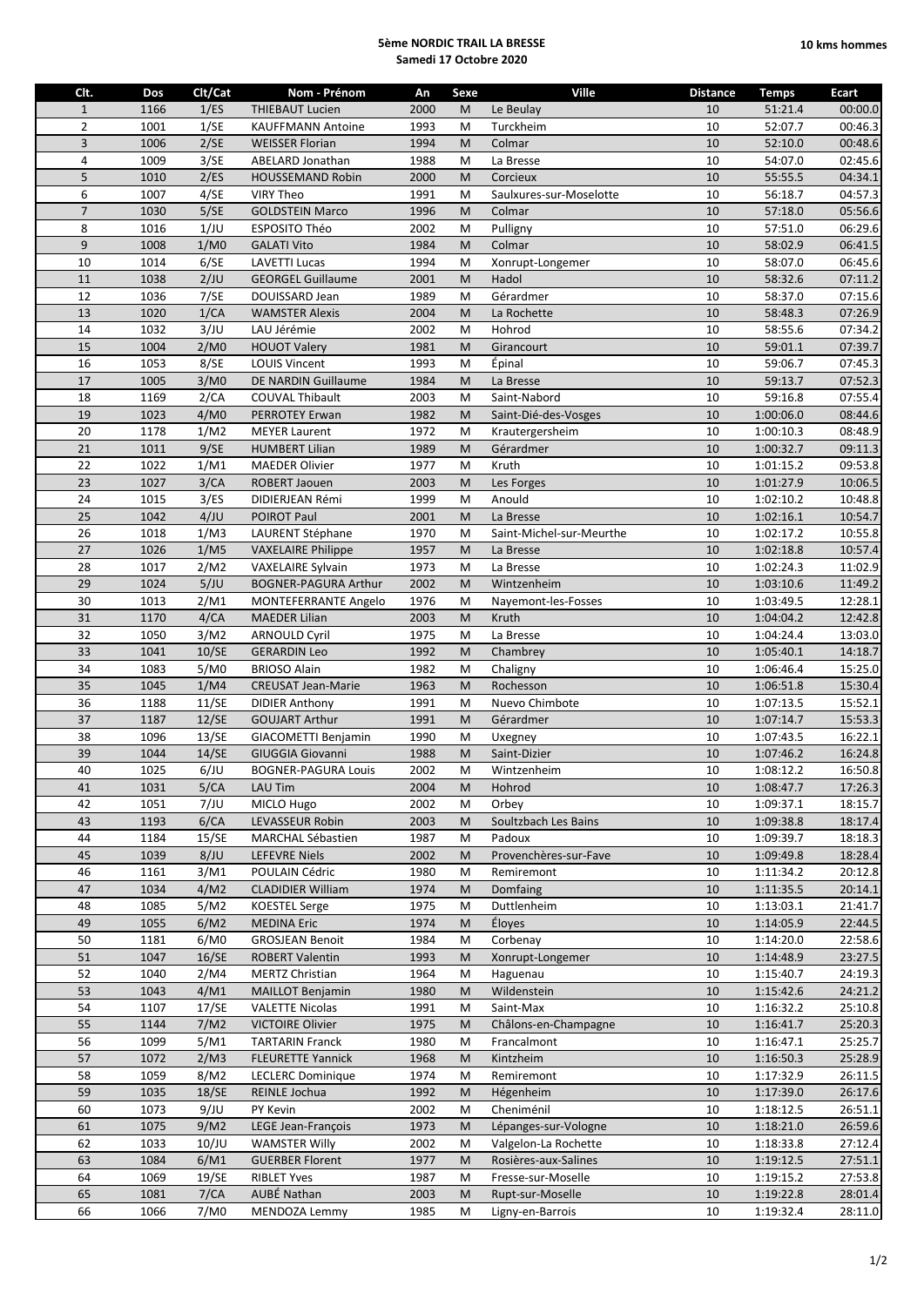## **5ème NORDIC TRAIL LA BRESSE Samedi 17 Octobre 2020**

| Clt.           | Dos  | Clt/Cat | Nom - Prénom                | An   | Sexe | <b>Ville</b>             | <b>Distance</b> | <b>Temps</b> | <b>Ecart</b> |
|----------------|------|---------|-----------------------------|------|------|--------------------------|-----------------|--------------|--------------|
| $\mathbf{1}$   | 1166 | 1/ES    | <b>THIEBAUT Lucien</b>      | 2000 | M    | Le Beulay                | 10              | 51:21.4      | 00:00.0      |
| $\overline{2}$ | 1001 | 1/SE    | <b>KAUFFMANN Antoine</b>    | 1993 | M    | Turckheim                | 10              | 52:07.7      | 00:46.3      |
| 3              | 1006 | 2/SE    | <b>WEISSER Florian</b>      | 1994 | M    | Colmar                   | $10\,$          | 52:10.0      | 00:48.6      |
| 4              | 1009 | 3/SE    | ABELARD Jonathan            | 1988 | M    | La Bresse                | $10\,$          | 54:07.0      | 02:45.6      |
| 5              | 1010 | 2/ES    | <b>HOUSSEMAND Robin</b>     | 2000 | M    | Corcieux                 | 10              | 55:55.5      | 04:34.1      |
| 6              | 1007 | 4/SE    | <b>VIRY Theo</b>            | 1991 | M    | Saulxures-sur-Moselotte  | 10              | 56:18.7      | 04:57.3      |
| $\overline{7}$ | 1030 | 5/SE    | <b>GOLDSTEIN Marco</b>      | 1996 | M    | Colmar                   | 10              | 57:18.0      | 05:56.6      |
| 8              | 1016 | 1/JU    | <b>ESPOSITO Théo</b>        | 2002 | M    | Pulligny                 | 10              | 57:51.0      | 06:29.6      |
| 9              | 1008 | 1/M0    | <b>GALATI Vito</b>          | 1984 | M    | Colmar                   | 10              | 58:02.9      | 06:41.5      |
| 10             | 1014 | 6/SE    | <b>LAVETTI Lucas</b>        | 1994 | M    | Xonrupt-Longemer         | $10\,$          | 58:07.0      | 06:45.6      |
| 11             | 1038 | 2/JU    | <b>GEORGEL Guillaume</b>    | 2001 | M    | Hadol                    | 10              | 58:32.6      | 07:11.2      |
| 12             | 1036 | 7/SE    | DOUISSARD Jean              | 1989 | M    | Gérardmer                | 10              | 58:37.0      | 07:15.6      |
| 13             | 1020 | 1/CA    | <b>WAMSTER Alexis</b>       | 2004 | M    | La Rochette              | 10              | 58:48.3      | 07:26.9      |
| 14             | 1032 | 3/JU    | LAU Jérémie                 | 2002 | M    | Hohrod                   | 10              | 58:55.6      | 07:34.2      |
| 15             | 1004 | 2/M0    | <b>HOUOT Valery</b>         | 1981 | M    | Girancourt               | 10              | 59:01.1      | 07:39.7      |
| 16             | 1053 | 8/SE    | <b>LOUIS Vincent</b>        | 1993 | M    | Épinal                   | 10              | 59:06.7      | 07:45.3      |
| 17             | 1005 | 3/M0    | DE NARDIN Guillaume         | 1984 | M    | La Bresse                | 10              | 59:13.7      | 07:52.3      |
| 18             | 1169 | 2/CA    | <b>COUVAL Thibault</b>      | 2003 | M    | Saint-Nabord             | 10              | 59:16.8      | 07:55.4      |
| 19             | 1023 | 4/M0    | PERROTEY Erwan              | 1982 | M    | Saint-Dié-des-Vosges     | $10\,$          | 1:00:06.0    | 08:44.6      |
| 20             | 1178 | 1/M2    | <b>MEYER Laurent</b>        | 1972 | M    | Krautergersheim          | 10              | 1:00:10.3    | 08:48.9      |
| 21             | 1011 | 9/SE    | <b>HUMBERT Lilian</b>       | 1989 | M    | Gérardmer                | 10              | 1:00:32.7    | 09:11.3      |
| 22             | 1022 | 1/M1    | <b>MAEDER Olivier</b>       | 1977 | M    | Kruth                    | $10\,$          | 1:01:15.2    | 09:53.8      |
| 23             | 1027 | 3/CA    | ROBERT Jaouen               | 2003 | M    | Les Forges               | 10              | 1:01:27.9    | 10:06.5      |
| 24             | 1015 | 3/ES    | DIDIERJEAN Rémi             | 1999 | M    | Anould                   | 10              | 1:02:10.2    | 10:48.8      |
| 25             | 1042 | 4/JU    | POIROT Paul                 | 2001 | M    | La Bresse                | 10              | 1:02:16.1    | 10:54.7      |
| 26             | 1018 | 1/M3    | LAURENT Stéphane            | 1970 | M    | Saint-Michel-sur-Meurthe | $10\,$          | 1:02:17.2    | 10:55.8      |
| 27             | 1026 | 1/M5    | <b>VAXELAIRE Philippe</b>   | 1957 | M    | La Bresse                | 10              | 1:02:18.8    | 10:57.4      |
| 28             | 1017 | 2/M2    | VAXELAIRE Sylvain           | 1973 | M    | La Bresse                | 10              | 1:02:24.3    | 11:02.9      |
| 29             | 1024 | 5/JU    | <b>BOGNER-PAGURA Arthur</b> | 2002 | M    | Wintzenheim              | 10              | 1:03:10.6    | 11:49.2      |
| 30             | 1013 | 2/M1    | MONTEFERRANTE Angelo        | 1976 | M    | Nayemont-les-Fosses      | 10              | 1:03:49.5    | 12:28.1      |
| 31             | 1170 | 4/CA    | <b>MAEDER Lilian</b>        | 2003 | M    | Kruth                    | 10              | 1:04:04.2    | 12:42.8      |
| 32             | 1050 | 3/M2    | <b>ARNOULD Cyril</b>        | 1975 | M    | La Bresse                | 10              | 1:04:24.4    | 13:03.0      |
| 33             | 1041 | 10/SE   | <b>GERARDIN Leo</b>         | 1992 | M    | Chambrey                 | 10              | 1:05:40.1    | 14:18.7      |
| 34             | 1083 | 5/M0    | <b>BRIOSO Alain</b>         | 1982 | M    | Chaligny                 | 10              | 1:06:46.4    | 15:25.0      |
| 35             | 1045 | 1/M4    | <b>CREUSAT Jean-Marie</b>   | 1963 | M    | Rochesson                | 10              | 1:06:51.8    | 15:30.4      |
| 36             | 1188 | 11/SE   | <b>DIDIER Anthony</b>       | 1991 | M    | Nuevo Chimbote           | $10\,$          | 1:07:13.5    | 15:52.1      |
| 37             | 1187 | 12/SE   | <b>GOUJART Arthur</b>       | 1991 | M    | Gérardmer                | 10              | 1:07:14.7    | 15:53.3      |
| 38             | 1096 | 13/SE   | GIACOMETTI Benjamin         | 1990 | M    | Uxegney                  | $10\,$          | 1:07:43.5    | 16:22.1      |
| 39             | 1044 | 14/SE   | <b>GIUGGIA Giovanni</b>     | 1988 | M    | Saint-Dizier             | 10              | 1:07:46.2    | 16:24.8      |
| 40             | 1025 | 6/JU    | <b>BOGNER-PAGURA Louis</b>  | 2002 | M    | Wintzenheim              | 10              | 1:08:12.2    | 16:50.8      |
| 41             | 1031 | 5/CA    | LAU Tim                     | 2004 | M    | Hohrod                   | 10              | 1:08:47.7    | 17:26.3      |
| 42             | 1051 | 7/JU    | MICLO Hugo                  | 2002 | M    | Orbey                    | 10              | 1:09:37.1    | 18:15.7      |
| 43             | 1193 | 6/CA    | LEVASSEUR Robin             | 2003 | M    | Soultzbach Les Bains     | 10              | 1:09:38.8    | 18:17.4      |
| 44             | 1184 | 15/SE   | MARCHAL Sébastien           | 1987 | M    | Padoux                   | 10              | 1:09:39.7    | 18:18.3      |
| 45             | 1039 | 8/JU    | <b>LEFEVRE Niels</b>        | 2002 | M    | Provenchères-sur-Fave    | 10              | 1:09:49.8    | 18:28.4      |
| 46             | 1161 | 3/M1    | POULAIN Cédric              | 1980 | M    | Remiremont               | 10              | 1:11:34.2    | 20:12.8      |
| 47             | 1034 | 4/M2    | <b>CLADIDIER William</b>    | 1974 | M    | Domfaing                 | 10              | 1:11:35.5    | 20:14.1      |
| 48             | 1085 | 5/M2    | <b>KOESTEL Serge</b>        | 1975 | M    | Duttlenheim              | 10              | 1:13:03.1    | 21:41.7      |
| 49             | 1055 | 6/M2    | <b>MEDINA Eric</b>          | 1974 | M    | Éloyes                   | 10              | 1:14:05.9    | 22:44.5      |
| 50             | 1181 | 6/M0    | <b>GROSJEAN Benoit</b>      | 1984 | M    | Corbenay                 | 10              | 1:14:20.0    | 22:58.6      |
| 51             | 1047 | 16/SE   | <b>ROBERT Valentin</b>      | 1993 | M    | Xonrupt-Longemer         | $10\,$          | 1:14:48.9    | 23:27.5      |
| 52             | 1040 | 2/M4    | <b>MERTZ Christian</b>      | 1964 | M    | Haguenau                 | 10              | 1:15:40.7    | 24:19.3      |
| 53             | 1043 | 4/M1    | <b>MAILLOT Benjamin</b>     | 1980 | M    | Wildenstein              | 10              | 1:15:42.6    | 24:21.2      |
| 54             | 1107 | 17/SE   | <b>VALETTE Nicolas</b>      | 1991 | M    | Saint-Max                | 10              | 1:16:32.2    | 25:10.8      |
| 55             | 1144 | 7/M2    | <b>VICTOIRE Olivier</b>     | 1975 | M    | Châlons-en-Champagne     | 10              | 1:16:41.7    | 25:20.3      |
| 56             | 1099 | 5/M1    | <b>TARTARIN Franck</b>      | 1980 | M    | Francalmont              | 10              | 1:16:47.1    | 25:25.7      |
| 57             | 1072 | 2/M3    | <b>FLEURETTE Yannick</b>    | 1968 | M    | Kintzheim                | $10\,$          | 1:16:50.3    | 25:28.9      |
| 58             | 1059 | 8/M2    | <b>LECLERC Dominique</b>    | 1974 | M    | Remiremont               | 10              | 1:17:32.9    | 26:11.5      |
| 59             | 1035 | 18/SE   | REINLE Jochua               | 1992 | M    | Hégenheim                | 10              | 1:17:39.0    | 26:17.6      |
| 60             | 1073 | 9/JU    | PY Kevin                    | 2002 | M    | Cheniménil               | 10              | 1:18:12.5    | 26:51.1      |
| 61             | 1075 | 9/M2    | LEGE Jean-François          | 1973 | M    | Lépanges-sur-Vologne     | 10              | 1:18:21.0    | 26:59.6      |
| 62             | 1033 | 10/JU   | <b>WAMSTER Willy</b>        | 2002 | M    | Valgelon-La Rochette     | 10              | 1:18:33.8    | 27:12.4      |
| 63             | 1084 | 6/M1    | <b>GUERBER Florent</b>      | 1977 | M    | Rosières-aux-Salines     | $10\,$          | 1:19:12.5    | 27:51.1      |
| 64             | 1069 | 19/SE   | <b>RIBLET Yves</b>          | 1987 | М    | Fresse-sur-Moselle       | 10              | 1:19:15.2    | 27:53.8      |
| 65             | 1081 | 7/CA    | AUBÉ Nathan                 | 2003 | M    | Rupt-sur-Moselle         | 10              | 1:19:22.8    | 28:01.4      |
| 66             | 1066 | 7/M0    | MENDOZA Lemmy               | 1985 | М    | Ligny-en-Barrois         | 10              | 1:19:32.4    | 28:11.0      |